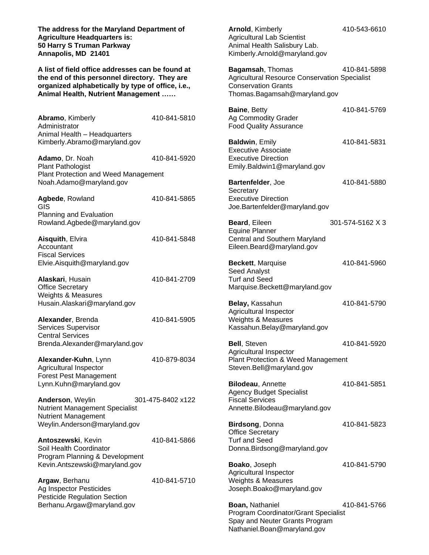**The address for the Maryland Department of Agriculture Headquarters is: 50 Harry S Truman Parkway Annapolis, MD 21401**

**A list of field office addresses can be found at the end of this personnel directory. They are organized alphabetically by type of office, i.e., Animal Health, Nutrient Management ……**

| <b>Abramo, Kimberly</b>      | 410-841-5810 |
|------------------------------|--------------|
| Administrator                |              |
| Animal Health - Headquarters |              |
| Kimberly.Abramo@maryland.gov |              |
|                              |              |

**Adamo**, Dr. Noah 410-841-5920 Plant Pathologist Plant Protection and Weed Management Noah.Adamo@maryland.gov

| Agbede, Rowland                | 410-841-5865 |
|--------------------------------|--------------|
| GIS.                           |              |
| <b>Planning and Evaluation</b> |              |
| Rowland.Agbede@maryland.gov    |              |
|                                |              |

**Aisquith**, Elvira 410-841-5848 Accountant Fiscal Services Elvie.Aisquith@maryland.gov

**Alaskari**, Husain 410-841-2709 Office Secretary Weights & Measures Husain.Alaskari@maryland.gov

**Alexander**, Brenda 410-841-5905 Services Supervisor Central Services Brenda.Alexander@maryland.gov

**Alexander-Kuhn**, Lynn 410-879-8034 Agricultural Inspector Forest Pest Management Lynn.Kuhn@maryland.gov

**Anderson**, Weylin 301-475-8402 x122 Nutrient Management Specialist Nutrient Management Weylin.Anderson@maryland.gov

**Antoszewski**, Kevin 410-841-5866 Soil Health Coordinator Program Planning & Development Kevin.Antszewski@maryland.gov

**Argaw**, Berhanu 410-841-5710 Ag Inspector Pesticides Pesticide Regulation Section Berhanu.Argaw@maryland.gov

**Arnold**, Kimberly 410-543-6610 Agricultural Lab Scientist Animal Health Salisbury Lab. Kimberly.Arnold@maryland.gov **Bagamsah**, Thomas 410-841-5898 Agricultural Resource Conservation Specialist Conservation Grants Thomas.Bagamsah@maryland.gov **Baine**, Betty 410-841-5769 Ag Commodity Grader Food Quality Assurance **Baldwin**, Emily 410-841-5831 Executive Associate Executive Direction Emily.Baldwin1@maryland.gov **Bartenfelder**, Joe 410-841-5880 **Secretary** Executive Direction Joe.Bartenfelder@maryland.gov **Beard**, Eileen 301-574-5162 X 3 Equine Planner Central and Southern Maryland Eileen.Beard@maryland.gov **Beckett**, Marquise 410-841-5960 Seed Analyst Turf and Seed Marquise.Beckett@maryland.gov **Belay, Kassahun 410-841-5790** Agricultural Inspector Weights & Measures Kassahun.Belay@maryland.gov **Bell**, Steven 410-841-5920 Agricultural Inspector Plant Protection & Weed Management Steven.Bell@maryland.gov **Bilodeau**, Annette 410-841-5851 Agency Budget Specialist Fiscal Services Annette.Bilodeau@maryland.gov **Birdsong**, Donna 410-841-5823 Office Secretary Turf and Seed Donna.Birdsong@maryland.gov **Boako**, Joseph 410-841-5790 Agricultural Inspector Weights & Measures Joseph.Boako@maryland.gov **Boan, Nathaniel 410-841-5766** Program Coordinator/Grant Specialist

Spay and Neuter Grants Program Nathaniel.Boan@maryland.gov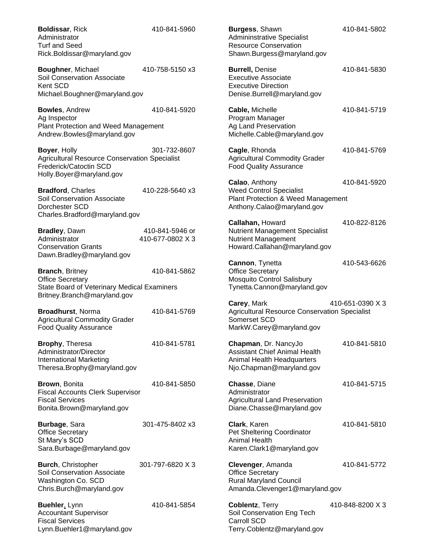| <b>Boldissar, Rick</b><br>Administrator<br><b>Turf and Seed</b><br>Rick.Boldissar@maryland.gov                             | 410-841-5960                        | Burgess, Shawn<br><b>Admininstrative Specialist</b><br><b>Resource Conservation</b><br>Shawn.Burgess@maryland.gov      | 410-841-5802     |
|----------------------------------------------------------------------------------------------------------------------------|-------------------------------------|------------------------------------------------------------------------------------------------------------------------|------------------|
| Boughner, Michael<br>Soil Conservation Associate<br>Kent SCD<br>Michael.Boughner@maryland.gov                              | 410-758-5150 x3                     | <b>Burrell, Denise</b><br><b>Executive Associate</b><br><b>Executive Direction</b><br>Denise.Burrell@maryland.gov      | 410-841-5830     |
| <b>Bowles, Andrew</b><br>Ag Inspector<br>Plant Protection and Weed Management<br>Andrew.Bowles@maryland.gov                | 410-841-5920                        | Cable, Michelle<br>Program Manager<br>Ag Land Preservation<br>Michelle.Cable@maryland.gov                              | 410-841-5719     |
| Boyer, Holly<br><b>Agricultural Resource Conservation Specialist</b><br>Frederick/Catoctin SCD<br>Holly.Boyer@maryland.gov | 301-732-8607                        | Cagle, Rhonda<br><b>Agricultural Commodity Grader</b><br><b>Food Quality Assurance</b>                                 | 410-841-5769     |
| <b>Bradford, Charles</b><br>Soil Conservation Associate<br>Dorchester SCD<br>Charles.Bradford@maryland.gov                 | 410-228-5640 x3                     | Calao, Anthony<br><b>Weed Control Specialist</b><br>Plant Protection & Weed Management<br>Anthony.Calao@maryland.gov   | 410-841-5920     |
| Bradley, Dawn<br>Administrator<br><b>Conservation Grants</b><br>Dawn.Bradley@maryland.gov                                  | 410-841-5946 or<br>410-677-0802 X 3 | Callahan, Howard<br>Nutrient Management Specialist<br><b>Nutrient Management</b><br>Howard.Callahan@maryland.gov       | 410-822-8126     |
| <b>Branch, Britney</b><br><b>Office Secretary</b><br>State Board of Veterinary Medical Examiners                           | 410-841-5862                        | Cannon, Tynetta<br><b>Office Secretary</b><br><b>Mosquito Control Salisbury</b><br>Tynetta.Cannon@maryland.gov         | 410-543-6626     |
| Britney.Branch@maryland.gov<br>Broadhurst, Norma<br><b>Agricultural Commodity Grader</b><br><b>Food Quality Assurance</b>  | 410-841-5769                        | Carey, Mark<br><b>Agricultural Resource Conservation Specialist</b><br>Somerset SCD<br>MarkW.Carey@maryland.gov        | 410-651-0390 X 3 |
| Brophy, Theresa<br>Administrator/Director<br><b>International Marketing</b><br>Theresa.Brophy@maryland.gov                 | 410-841-5781                        | Chapman, Dr. NancyJo<br><b>Assistant Chief Animal Health</b><br>Animal Health Headquarters<br>Njo.Chapman@maryland.gov | 410-841-5810     |
| Brown, Bonita<br><b>Fiscal Accounts Clerk Supervisor</b><br><b>Fiscal Services</b><br>Bonita.Brown@maryland.gov            | 410-841-5850                        | Chasse, Diane<br>Administrator<br><b>Agricultural Land Preservation</b><br>Diane.Chasse@maryland.gov                   | 410-841-5715     |
| Burbage, Sara<br><b>Office Secretary</b><br>St Mary's SCD<br>Sara.Burbage@maryland.gov                                     | 301-475-8402 x3                     | Clark, Karen<br>Pet Sheltering Coordinator<br><b>Animal Health</b><br>Karen.Clark1@maryland.gov                        | 410-841-5810     |
| <b>Burch, Christopher</b><br>Soil Conservation Associate<br>Washington Co. SCD<br>Chris.Burch@maryland.gov                 | 301-797-6820 X 3                    | Clevenger, Amanda<br><b>Office Secretary</b><br><b>Rural Maryland Council</b><br>Amanda.Clevenger1@maryland.gov        | 410-841-5772     |
| Buehler, Lynn<br><b>Accountant Supervisor</b><br><b>Fiscal Services</b><br>Lynn.Buehler1@maryland.gov                      | 410-841-5854                        | Coblentz, Terry<br>Soil Conservation Eng Tech<br>Carroll SCD<br>Terry.Coblentz@maryland.gov                            | 410-848-8200 X 3 |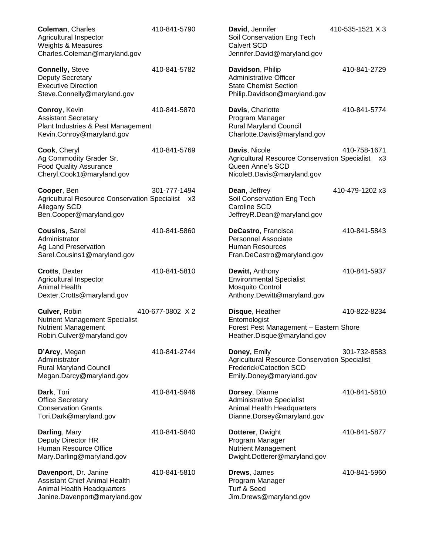**Coleman**, Charles 410-841-5790 Agricultural Inspector Weights & Measures Charles.Coleman@maryland.gov **Connelly, Steve 410-841-5782** Deputy Secretary Executive Direction Steve.Connelly@maryland.gov **Conroy**, Kevin 410-841-5870 Assistant Secretary Plant Industries & Pest Management Kevin.Conroy@maryland.gov **Cook**, Cheryl 410-841-5769 Ag Commodity Grader Sr. Food Quality Assurance Cheryl.Cook1@maryland.gov **Cooper**, Ben 301-777-1494 Agricultural Resource Conservation Specialist x3 Allegany SCD Ben.Cooper@maryland.gov **Cousins**, Sarel 410-841-5860 Administrator Ag Land Preservation Sarel.Cousins1@maryland.gov **Crotts**, Dexter 410-841-5810 Agricultural Inspector Animal Health Dexter.Crotts@maryland.gov **Culver**, Robin 410-677-0802 X 2 Nutrient Management Specialist Nutrient Management Robin.Culver@maryland.gov **D'Arcy**, Megan 410-841-2744 Administrator Rural Maryland Council Megan.Darcy@maryland.gov **Dark**, Tori 410-841-5946 Office Secretary Conservation Grants Tori.Dark@maryland.gov **Darling**, Mary 410-841-5840 Deputy Director HR Human Resource Office Mary.Darling@maryland.gov **Davenport**, Dr. Janine 410-841-5810 Assistant Chief Animal Health Animal Health Headquarters Janine.Davenport@maryland.gov

**David**, Jennifer 410-535-1521 X 3 Soil Conservation Eng Tech Calvert SCD Jennifer.David@maryland.gov

**Davidson**, Philip 410-841-2729 Administrative Officer State Chemist Section Philip.Davidson@maryland.gov

**Davis**, Charlotte 410-841-5774 Program Manager Rural Maryland Council Charlotte.Davis@maryland.gov

**Davis**, Nicole 410-758-1671 Agricultural Resource Conservation Specialist x3 Queen Anne's SCD NicoleB.Davis@maryland.gov

**Dean**, Jeffrey 410-479-1202 x3 Soil Conservation Eng Tech Caroline SCD JeffreyR.Dean@maryland.gov

**DeCastro**, Francisca 410-841-5843 Personnel Associate Human Resources Fran.DeCastro@maryland.gov

**Dewitt, Anthony 110-841-5937** Environmental Specialist Mosquito Control Anthony.Dewitt@maryland.gov

**Disque**, Heather 410-822-8234 Entomologist Forest Pest Management – Eastern Shore Heather.Disque@maryland.gov

**Doney, Emily 301-732-8583** Agricultural Resource Conservation Specialist Frederick/Catoction SCD Emily.Doney@maryland.gov

**Dorsey**, Dianne 410-841-5810 Administrative Specialist Animal Health Headquarters Dianne.Dorsey@maryland.gov

**Dotterer**, Dwight 410-841-5877 Program Manager Nutrient Management Dwight.Dotterer@maryland.gov

**Drews**, James 410-841-5960 Program Manager Turf & Seed Jim.Drews@maryland.gov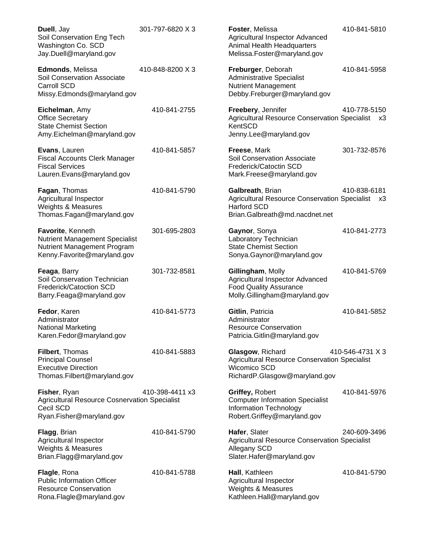| Duell, Jay<br>Soil Conservation Eng Tech<br>Washington Co. SCD<br>Jay.Duell@maryland.gov                                 | 301-797-6820 X 3 | Foster, Melissa<br>Agricultural Inspector Advanced<br>Animal Health Headquarters<br>Melissa.Foster@maryland.gov                  | 410-841-5810         |
|--------------------------------------------------------------------------------------------------------------------------|------------------|----------------------------------------------------------------------------------------------------------------------------------|----------------------|
| Edmonds, Melissa<br>Soil Conservation Associate<br>Carroll SCD<br>Missy.Edmonds@maryland.gov                             | 410-848-8200 X 3 | Freburger, Deborah<br><b>Administrative Specialist</b><br><b>Nutrient Management</b><br>Debby.Freburger@maryland.gov             | 410-841-5958         |
| Eichelman, Amy<br><b>Office Secretary</b><br><b>State Chemist Section</b><br>Amy.Eichelman@maryland.gov                  | 410-841-2755     | Freebery, Jennifer<br><b>Agricultural Resource Conservation Specialist</b><br>KentSCD<br>Jenny.Lee@maryland.gov                  | 410-778-5150<br>- x3 |
| Evans, Lauren<br><b>Fiscal Accounts Clerk Manager</b><br><b>Fiscal Services</b><br>Lauren.Evans@maryland.gov             | 410-841-5857     | Freese, Mark<br>Soil Conservation Associate<br>Frederick/Catoctin SCD<br>Mark.Freese@maryland.gov                                | 301-732-8576         |
| Fagan, Thomas<br>Agricultural Inspector<br>Weights & Measures<br>Thomas.Fagan@maryland.gov                               | 410-841-5790     | Galbreath, Brian<br><b>Agricultural Resource Conservation Specialist</b><br><b>Harford SCD</b><br>Brian.Galbreath@md.nacdnet.net | 410-838-6181<br>xЗ   |
| Favorite, Kenneth<br><b>Nutrient Management Specialist</b><br>Nutrient Management Program<br>Kenny.Favorite@maryland.gov | 301-695-2803     | Gaynor, Sonya<br>Laboratory Technician<br><b>State Chemist Section</b><br>Sonya.Gaynor@maryland.gov                              | 410-841-2773         |
| Feaga, Barry<br>Soil Conservation Technician<br>Frederick/Catoction SCD<br>Barry.Feaga@maryland.gov                      | 301-732-8581     | Gillingham, Molly<br>Agricultural Inspector Advanced<br><b>Food Quality Assurance</b><br>Molly.Gillingham@maryland.gov           | 410-841-5769         |
| Fedor, Karen<br>Administrator<br>National Marketing<br>Karen.Fedor@maryland.gov                                          | 410-841-5773     | Gitlin, Patricia<br>Administrator<br><b>Resource Conservation</b><br>Patricia.Gitlin@maryland.gov                                | 410-841-5852         |
| Filbert, Thomas<br><b>Principal Counsel</b><br><b>Executive Direction</b><br>Thomas.Filbert@maryland.gov                 | 410-841-5883     | Glasgow, Richard<br><b>Agricultural Resource Conservation Specialist</b><br>Wicomico SCD<br>RichardP.Glasgow@maryland.gov        | 410-546-4731 X 3     |
| Fisher, Ryan<br><b>Agricultural Resource Cosnervation Specialist</b><br>Cecil SCD<br>Ryan.Fisher@maryland.gov            | 410-398-4411 x3  | Griffey, Robert<br><b>Computer Information Specialist</b><br>Information Technology<br>Robert.Griffey@maryland.gov               | 410-841-5976         |
| <b>Flagg, Brian</b><br>Agricultural Inspector<br>Weights & Measures<br>Brian.Flagg@maryland.gov                          | 410-841-5790     | Hafer, Slater<br>Agricultural Resource Conservation Specialist<br>Allegany SCD<br>Slater.Hafer@maryland.gov                      | 240-609-3496         |
| Flagle, Rona<br><b>Public Information Officer</b><br><b>Resource Conservation</b><br>Rona.Flagle@maryland.gov            | 410-841-5788     | Hall, Kathleen<br>Agricultural Inspector<br><b>Weights &amp; Measures</b><br>Kathleen.Hall@maryland.gov                          | 410-841-5790         |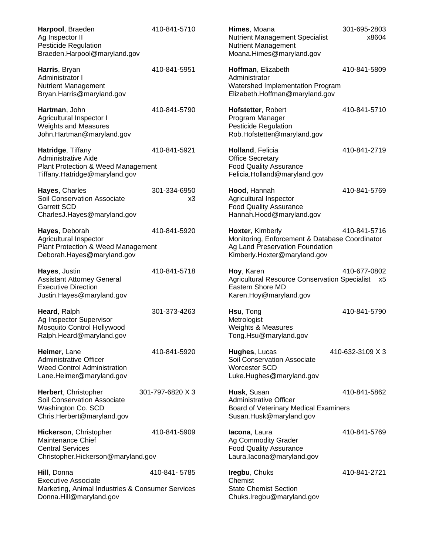| Harpool, Braeden<br>Ag Inspector II<br>Pesticide Regulation<br>Braeden.Harpool@maryland.gov                              | 410-841-5710       | Himes, Moana<br><b>Nutrient Management Specialist</b><br><b>Nutrient Management</b><br>Moana.Himes@maryland.gov                       | 301-695-2803<br>x8604 |
|--------------------------------------------------------------------------------------------------------------------------|--------------------|---------------------------------------------------------------------------------------------------------------------------------------|-----------------------|
| Harris, Bryan<br>Administrator I<br><b>Nutrient Management</b><br>Bryan.Harris@maryland.gov                              | 410-841-5951       | Hoffman, Elizabeth<br>Administrator<br>Watershed Implementation Program<br>Elizabeth.Hoffman@maryland.gov                             | 410-841-5809          |
| Hartman, John<br>Agricultural Inspector I<br><b>Weights and Measures</b><br>John.Hartman@maryland.gov                    | 410-841-5790       | Hofstetter, Robert<br>Program Manager<br><b>Pesticide Regulation</b><br>Rob.Hofstetter@maryland.gov                                   | 410-841-5710          |
| Hatridge, Tiffany<br>Administrative Aide<br>Plant Protection & Weed Management<br>Tiffany.Hatridge@maryland.gov          | 410-841-5921       | Holland, Felicia<br><b>Office Secretary</b><br><b>Food Quality Assurance</b><br>Felicia.Holland@maryland.gov                          | 410-841-2719          |
| Hayes, Charles<br>Soil Conservation Associate<br><b>Garrett SCD</b><br>CharlesJ.Hayes@maryland.gov                       | 301-334-6950<br>x3 | Hood, Hannah<br>Agricultural Inspector<br><b>Food Quality Assurance</b><br>Hannah.Hood@maryland.gov                                   | 410-841-5769          |
| Hayes, Deborah<br>Agricultural Inspector<br>Plant Protection & Weed Management<br>Deborah.Hayes@maryland.gov             | 410-841-5920       | Hoxter, Kimberly<br>Monitoring, Enforcement & Database Coordinator<br>Ag Land Preservation Foundation<br>Kimberly.Hoxter@maryland.gov | 410-841-5716          |
| Hayes, Justin<br><b>Assistant Attorney General</b><br><b>Executive Direction</b><br>Justin.Hayes@maryland.gov            | 410-841-5718       | Hoy, Karen<br>Agricultural Resource Conservation Specialist x5<br>Eastern Shore MD<br>Karen.Hoy@maryland.gov                          | 410-677-0802          |
| Heard, Ralph<br>Ag Inspector Supervisor<br>Mosquito Control Hollywood<br>Ralph.Heard@maryland.gov                        | 301-373-4263       | Hsu, Tong<br>Metrologist<br>Weights & Measures<br>Tong.Hsu@maryland.gov                                                               | 410-841-5790          |
| Heimer, Lane<br><b>Administrative Officer</b><br><b>Weed Control Administration</b><br>Lane.Heimer@maryland.gov          | 410-841-5920       | Hughes, Lucas<br>Soil Conservation Associate<br>Worcester SCD<br>Luke.Hughes@maryland.gov                                             | 410-632-3109 X 3      |
| Herbert, Christopher<br>Soil Conservation Associate<br>Washington Co. SCD<br>Chris.Herbert@maryland.gov                  | 301-797-6820 X 3   | Husk, Susan<br><b>Administrative Officer</b><br>Board of Veterinary Medical Examiners<br>Susan.Husk@maryland.gov                      | 410-841-5862          |
| Hickerson, Christopher<br>Maintenance Chief<br><b>Central Services</b><br>Christopher.Hickerson@maryland.gov             | 410-841-5909       | lacona, Laura<br>Ag Commodity Grader<br><b>Food Quality Assurance</b><br>Laura.lacona@maryland.gov                                    | 410-841-5769          |
| Hill, Donna<br><b>Executive Associate</b><br>Marketing, Animal Industries & Consumer Services<br>Donna.Hill@maryland.gov | 410-841-5785       | Iregbu, Chuks<br>Chemist<br><b>State Chemist Section</b><br>Chuks.lregbu@maryland.gov                                                 | 410-841-2721          |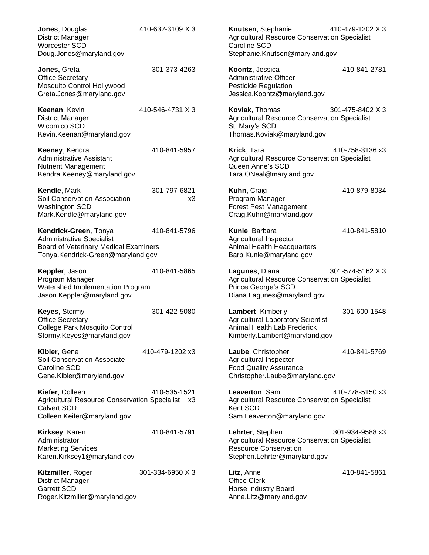| Jones, Douglas<br><b>District Manager</b><br>Worcester SCD<br>Doug.Jones@maryland.gov                                                   | 410-632-3109 X 3   | Knutsen, Stephanie<br><b>Agricultural Resource Conservation Specialist</b><br><b>Caroline SCD</b><br>Stephanie.Knutsen@maryland.gov      | 410-479-1202 X 3 |
|-----------------------------------------------------------------------------------------------------------------------------------------|--------------------|------------------------------------------------------------------------------------------------------------------------------------------|------------------|
| Jones, Greta<br><b>Office Secretary</b><br>Mosquito Control Hollywood<br>Greta.Jones@maryland.gov                                       | 301-373-4263       | Koontz, Jessica<br><b>Administrative Officer</b><br><b>Pesticide Regulation</b><br>Jessica.Koontz@maryland.gov                           | 410-841-2781     |
| Keenan, Kevin<br><b>District Manager</b><br>Wicomico SCD<br>Kevin.Keenan@maryland.gov                                                   | 410-546-4731 X 3   | Koviak, Thomas<br><b>Agricultural Resource Conservation Specialist</b><br>St. Mary's SCD<br>Thomas.Koviak@maryland.gov                   | 301-475-8402 X 3 |
| Keeney, Kendra<br><b>Administrative Assistant</b><br><b>Nutrient Management</b><br>Kendra.Keeney@maryland.gov                           | 410-841-5957       | Krick, Tara<br><b>Agricultural Resource Conservation Specialist</b><br>Queen Anne's SCD<br>Tara.ONeal@maryland.gov                       | 410-758-3136 x3  |
| Kendle, Mark<br>Soil Conservation Association<br>Washington SCD<br>Mark.Kendle@maryland.gov                                             | 301-797-6821<br>x3 | Kuhn, Craig<br>Program Manager<br><b>Forest Pest Management</b><br>Craig.Kuhn@maryland.gov                                               | 410-879-8034     |
| Kendrick-Green, Tonya<br><b>Administrative Specialist</b><br>Board of Veterinary Medical Examiners<br>Tonya.Kendrick-Green@maryland.gov | 410-841-5796       | Kunie, Barbara<br>Agricultural Inspector<br>Animal Health Headquarters<br>Barb.Kunie@maryland.gov                                        | 410-841-5810     |
| Keppler, Jason<br>Program Manager<br>Watershed Implementation Program<br>Jason.Keppler@maryland.gov                                     | 410-841-5865       | Lagunes, Diana<br><b>Agricultural Resource Conservation Specialist</b><br>Prince George's SCD<br>Diana.Lagunes@maryland.gov              | 301-574-5162 X 3 |
| Keyes, Stormy<br><b>Office Secretary</b><br>College Park Mosquito Control<br>Stormy.Keyes@maryland.gov                                  | 301-422-5080       | Lambert, Kimberly<br><b>Agricultural Laboratory Scientist</b><br>Animal Health Lab Frederick<br>Kimberly.Lambert@maryland.gov            | 301-600-1548     |
| Kibler, Gene<br>Soil Conservation Associate<br>Caroline SCD<br>Gene.Kibler@maryland.gov                                                 | 410-479-1202 x3    | Laube, Christopher<br>Agricultural Inspector<br><b>Food Quality Assurance</b><br>Christopher.Laube@maryland.gov                          | 410-841-5769     |
| Kiefer, Colleen<br>Agricultural Resource Conservation Specialist x3<br><b>Calvert SCD</b><br>Colleen.Keifer@maryland.gov                | 410-535-1521       | Leaverton, Sam<br><b>Agricultural Resource Conservation Specialist</b><br>Kent SCD<br>Sam.Leaverton@maryland.gov                         | 410-778-5150 x3  |
| Kirksey, Karen<br>Administrator<br><b>Marketing Services</b><br>Karen.Kirksey1@maryland.gov                                             | 410-841-5791       | Lehrter, Stephen<br><b>Agricultural Resource Conservation Specialist</b><br><b>Resource Conservation</b><br>Stephen.Lehrter@maryland.gov | 301-934-9588 x3  |
| Kitzmiller, Roger<br><b>District Manager</b><br><b>Garrett SCD</b><br>Roger.Kitzmiller@maryland.gov                                     | 301-334-6950 X 3   | Litz, Anne<br><b>Office Clerk</b><br>Horse Industry Board<br>Anne.Litz@maryland.gov                                                      | 410-841-5861     |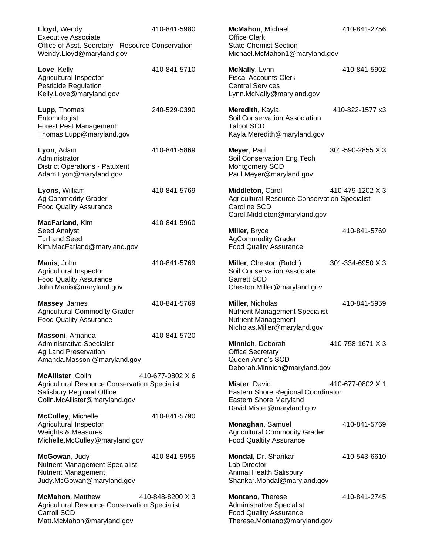| Lloyd, Wendy<br><b>Executive Associate</b>                                                                                              | 410-841-5980     | McMahon, Michael<br><b>Office Clerk</b>                                                                                 | 410-841-2756     |
|-----------------------------------------------------------------------------------------------------------------------------------------|------------------|-------------------------------------------------------------------------------------------------------------------------|------------------|
| Office of Asst. Secretary - Resource Conservation<br>Wendy.Lloyd@maryland.gov                                                           |                  | <b>State Chemist Section</b><br>Michael.McMahon1@maryland.gov                                                           |                  |
| Love, Kelly<br>Agricultural Inspector<br><b>Pesticide Regulation</b><br>Kelly.Love@maryland.gov                                         | 410-841-5710     | McNally, Lynn<br><b>Fiscal Accounts Clerk</b><br><b>Central Services</b><br>Lynn.McNally@maryland.gov                   | 410-841-5902     |
| Lupp, Thomas<br>Entomologist<br><b>Forest Pest Management</b><br>Thomas.Lupp@maryland.gov                                               | 240-529-0390     | Meredith, Kayla<br>Soil Conservation Association<br><b>Talbot SCD</b><br>Kayla.Meredith@maryland.gov                    | 410-822-1577 x3  |
| Lyon, Adam<br>Administrator<br><b>District Operations - Patuxent</b><br>Adam.Lyon@maryland.gov                                          | 410-841-5869     | Meyer, Paul<br>Soil Conservation Eng Tech<br>Montgomery SCD<br>Paul.Meyer@maryland.gov                                  | 301-590-2855 X 3 |
| Lyons, William<br>Ag Commodity Grader<br><b>Food Quality Assurance</b>                                                                  | 410-841-5769     | Middleton, Carol<br>Agricultural Resource Conservation Specialist<br>Caroline SCD<br>Carol.Middleton@maryland.gov       | 410-479-1202 X 3 |
| MacFarland, Kim<br>Seed Analyst<br><b>Turf and Seed</b><br>Kim.MacFarland@maryland.gov                                                  | 410-841-5960     | Miller, Bryce<br><b>AgCommodity Grader</b><br><b>Food Quality Assurance</b>                                             | 410-841-5769     |
| Manis, John<br>Agricultural Inspector<br><b>Food Quality Assurance</b><br>John.Manis@maryland.gov                                       | 410-841-5769     | Miller, Cheston (Butch)<br>Soil Conservation Associate<br><b>Garrett SCD</b><br>Cheston.Miller@maryland.gov             | 301-334-6950 X 3 |
| Massey, James<br><b>Agricultural Commodity Grader</b><br><b>Food Quality Assurance</b>                                                  | 410-841-5769     | Miller, Nicholas<br><b>Nutrient Management Specialist</b><br><b>Nutrient Management</b><br>Nicholas.Miller@maryland.gov | 410-841-5959     |
| Massoni, Amanda<br><b>Administrative Specialist</b><br>Ag Land Preservation<br>Amanda.Massoni@maryland.gov                              | 410-841-5720     | Minnich, Deborah<br><b>Office Secretary</b><br>Queen Anne's SCD<br>Deborah.Minnich@maryland.gov                         | 410-758-1671 X 3 |
| McAllister, Colin<br><b>Agricultural Resource Conservation Specialist</b><br>Salisbury Regional Office<br>Colin.McAllister@maryland.gov | 410-677-0802 X 6 | Mister, David<br>Eastern Shore Regional Coordinator<br>Eastern Shore Maryland<br>David.Mister@maryland.gov              | 410-677-0802 X 1 |
| <b>McCulley, Michelle</b><br>Agricultural Inspector<br>Weights & Measures<br>Michelle.McCulley@maryland.gov                             | 410-841-5790     | Monaghan, Samuel<br><b>Agricultural Commodity Grader</b><br><b>Food Qualtity Assurance</b>                              | 410-841-5769     |
| McGowan, Judy<br><b>Nutrient Management Specialist</b><br><b>Nutrient Management</b><br>Judy.McGowan@maryland.gov                       | 410-841-5955     | Mondal, Dr. Shankar<br>Lab Director<br>Animal Health Salisbury<br>Shankar.Mondal@maryland.gov                           | 410-543-6610     |
| McMahon, Matthew<br>Agricultural Resource Conservation Specialist<br>Carroll SCD<br>Matt.McMahon@maryland.gov                           | 410-848-8200 X 3 | Montano, Therese<br><b>Administrative Specialist</b><br><b>Food Quality Assurance</b><br>Therese.Montano@maryland.gov   | 410-841-2745     |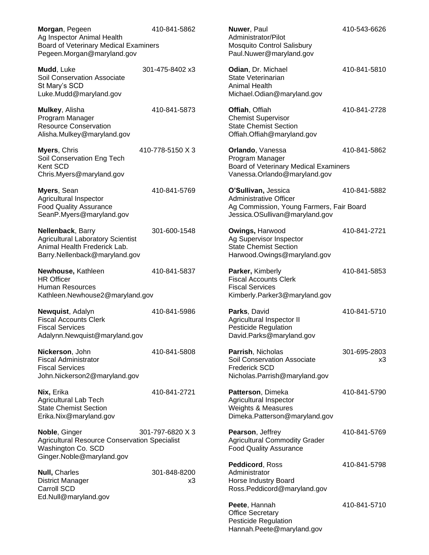| Morgan, Pegeen<br>Ag Inspector Animal Health<br>Board of Veterinary Medical Examiners<br>Pegeen.Morgan@maryland.gov            | 410-841-5862       | Nuwer, Paul<br>Administrator/Pilot<br><b>Mosquito Control Salisbury</b><br>Paul.Nuwer@maryland.gov                          | 410-543-6626       |
|--------------------------------------------------------------------------------------------------------------------------------|--------------------|-----------------------------------------------------------------------------------------------------------------------------|--------------------|
| Mudd, Luke<br><b>Soil Conservation Associate</b><br>St Mary's SCD<br>Luke.Mudd@maryland.gov                                    | 301-475-8402 x3    | Odian, Dr. Michael<br>State Veterinarian<br>Animal Health<br>Michael.Odian@maryland.gov                                     | 410-841-5810       |
| Mulkey, Alisha<br>Program Manager<br><b>Resource Conservation</b><br>Alisha.Mulkey@maryland.gov                                | 410-841-5873       | Offiah, Offiah<br><b>Chemist Supervisor</b><br><b>State Chemist Section</b><br>Offiah.Offiah@maryland.gov                   | 410-841-2728       |
| Myers, Chris<br>Soil Conservation Eng Tech<br>Kent SCD<br>Chris.Myers@maryland.gov                                             | 410-778-5150 X 3   | Orlando, Vanessa<br>Program Manager<br>Board of Veterinary Medical Examiners<br>Vanessa.Orlando@maryland.gov                | 410-841-5862       |
| Myers, Sean<br>Agricultural Inspector<br><b>Food Quality Assurance</b><br>SeanP.Myers@maryland.gov                             | 410-841-5769       | O'Sullivan, Jessica<br>Administrative Officer<br>Ag Commission, Young Farmers, Fair Board<br>Jessica.OSullivan@maryland.gov | 410-841-5882       |
| Nellenback, Barry<br><b>Agricultural Laboratory Scientist</b><br>Animal Health Frederick Lab.<br>Barry.Nellenback@maryland.gov | 301-600-1548       | Owings, Harwood<br>Ag Supervisor Inspector<br><b>State Chemist Section</b><br>Harwood.Owings@maryland.gov                   | 410-841-2721       |
| Newhouse, Kathleen<br><b>HR Officer</b><br><b>Human Resources</b><br>Kathleen.Newhouse2@maryland.gov                           | 410-841-5837       | Parker, Kimberly<br><b>Fiscal Accounts Clerk</b><br><b>Fiscal Services</b><br>Kimberly.Parker3@maryland.gov                 | 410-841-5853       |
| Newquist, Adalyn<br><b>Fiscal Accounts Clerk</b><br><b>Fiscal Services</b><br>Adalynn.Newquist@maryland.gov                    | 410-841-5986       | Parks, David<br>Agricultural Inspector II<br><b>Pesticide Regulation</b><br>David.Parks@maryland.gov                        | 410-841-5710       |
| Nickerson, John<br><b>Fiscal Administrator</b><br><b>Fiscal Services</b><br>John.Nickerson2@maryland.gov                       | 410-841-5808       | Parrish, Nicholas<br>Soil Conservation Associate<br><b>Frederick SCD</b><br>Nicholas.Parrish@maryland.gov                   | 301-695-2803<br>x3 |
| Nix, Erika<br>Agricultural Lab Tech<br><b>State Chemist Section</b><br>Erika.Nix@maryland.gov                                  | 410-841-2721       | Patterson, Dimeka<br>Agricultural Inspector<br>Weights & Measures<br>Dimeka.Patterson@maryland.gov                          | 410-841-5790       |
| Noble, Ginger<br><b>Agricultural Resource Conservation Specialist</b><br>Washington Co. SCD<br>Ginger.Noble@maryland.gov       | 301-797-6820 X 3   | Pearson, Jeffrey<br><b>Agricultural Commodity Grader</b><br><b>Food Quality Assurance</b>                                   | 410-841-5769       |
| <b>Null, Charles</b><br><b>District Manager</b><br>Carroll SCD                                                                 | 301-848-8200<br>x3 | Peddicord, Ross<br>Administrator<br>Horse Industry Board<br>Ross.Peddicord@maryland.gov                                     | 410-841-5798       |
| Ed.Null@maryland.gov                                                                                                           |                    | Peete, Hannah<br><b>Office Secretary</b><br><b>Pesticide Regulation</b><br>Hannah.Peete@maryland.gov                        | 410-841-5710       |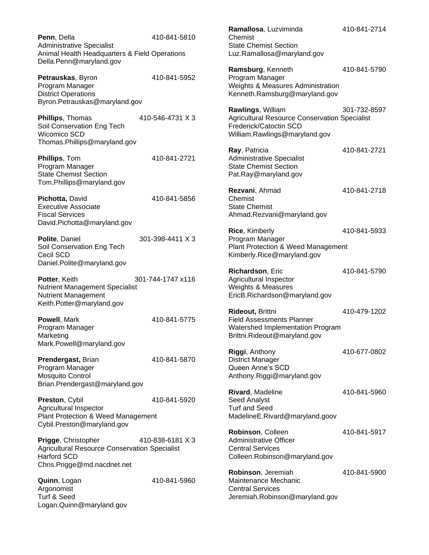**Penn**, Della 410-841-5810 Administrative Specialist Animal Health Headquarters & Field Operations Della.Penn@maryland.gov

**Petrauskas**, Byron 410-841-5952 Program Manager District Operations Byron.Petrauskas@maryland.gov

**Phillips**, Thomas 410-546-4731 X 3 Soil Conservation Eng Tech Wicomico SCD Thomas.Phillips@maryland.gov

**Phillips**, Tom 410-841-2721 Program Manager State Chemist Section Tom.Phillips@maryland.gov

**Pichotta, David** 410-841-5856 Executive Associate Fiscal Services David.Pichotta@maryland.gov

**Polite**, Daniel 301-398-4411 X 3 Soil Conservation Eng Tech Cecil SCD Daniel.Polite@maryland.gov

**Potter**, Keith 301-744-1747 x116 Nutrient Management Specialist Nutrient Management Keith.Potter@maryland.gov

**Powell**, Mark 410-841-5775 Program Manager Marketing Mark.Powell@maryland.gov

**Prendergast, Brian 410-841-5870** Program Manager Mosquito Control Brian.Prendergast@maryland.gov

**Preston**, Cybil 410-841-5920 Agricultural Inspector Plant Protection & Weed Management Cybil.Preston@maryland.gov

**Prigge**, Christopher 410-838-6181 X 3 Agricultural Resource Conservation Specialist Harford SCD Chris.Prigge@md.nacdnet.net

**Quinn**, Logan 410-841-5960 Argonomist Turf & Seed Logan.Quinn@maryland.gov

**Ramallosa**, Luzviminda 410-841-2714 Chemist State Chemist Section Luz.Ramallosa@maryland.gov **Ramsburg**, Kenneth 410-841-5790 Program Manager Weights & Measures Administration Kenneth.Ramsburg@maryland.gov **Rawlings**, William 301-732-8597 Agricultural Resource Conservation Specialist Frederick/Catoctin SCD William.Rawlings@maryland.gov **Ray**, Patricia 410-841-2721 Administrative Specialist State Chemist Section Pat.Ray@maryland.gov **Rezvani**, Ahmad 410-841-2718 Chemist State Chemist Ahmad.Rezvani@maryland.gov **Rice**, Kimberly 410-841-5933 Program Manager Plant Protection & Weed Management Kimberly.Rice@maryland.gov **Richardson**, Eric 410-841-5790 Agricultural Inspector Weights & Measures EricB.Richardson@maryland.gov **Rideout,** Brittni 410-479-1202 Field Assessments Planner Watershed Implementation Program Brittni.Rideout@maryland.gov **Riggi**, Anthony 410-677-0802 District Manager Queen Anne's SCD Anthony.Riggi@maryland.gov **Rivard**, Madeline 410-841-5960 Seed Analyst Turf and Seed MadelineE.Rivard@maryland.goov **Robinson**, Colleen 410-841-5917 Administrative Officer Central Services Colleen.Robinson@maryland.gov **Robinson**, Jeremiah 410-841-5900

Maintenance Mechanic Central Services Jeremiah.Robinson@maryland.gov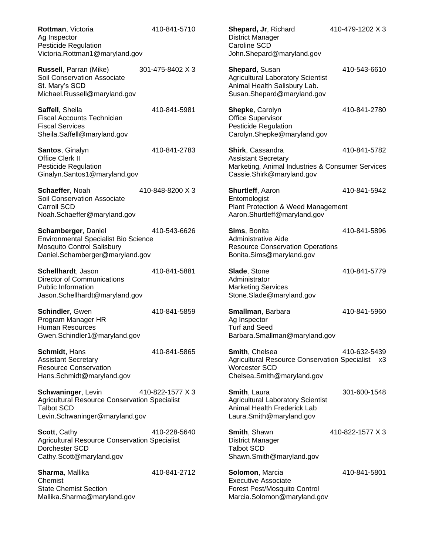**Rottman**, Victoria 410-841-5710 Ag Inspector Pesticide Regulation Victoria.Rottman1@maryland.gov

**Russell**, Parran (Mike) 301-475-8402 X 3 Soil Conservation Associate St. Mary's SCD Michael.Russell@maryland.gov

**Saffell**, Sheila 410-841-5981 Fiscal Accounts Technician Fiscal Services Sheila.Saffell@maryland.gov

**Santos**, Ginalyn 410-841-2783 Office Clerk II Pesticide Regulation Ginalyn.Santos1@maryland.gov

**Schaeffer**, Noah 410-848-8200 X 3 Soil Conservation Associate Carroll SCD Noah.Schaeffer@maryland.gov

**Schamberger, Daniel 410-543-6626** Environmental Specialist Bio Science Mosquito Control Salisbury Daniel.Schamberger@maryland.gov

**Schellhardt**, Jason 410-841-5881 Director of Communications Public Information Jason.Schellhardt@maryland.gov

**Schindler**, Gwen 410-841-5859 Program Manager HR Human Resources Gwen.Schindler1@maryland.gov

**Schmidt**, Hans 410-841-5865 Assistant Secretary Resource Conservation Hans.Schmidt@maryland.gov

**Schwaninger**, Levin 410-822-1577 X 3 Agricultural Resource Conservation Specialist Talbot SCD Levin.Schwaninger@maryland.gov

**Scott**, Cathy 410-228-5640 Agricultural Resource Conservation Specialist Dorchester SCD Cathy.Scott@maryland.gov

**Sharma**, Mallika 410-841-2712 Chemist State Chemist Section Mallika.Sharma@maryland.gov

**Shepard, Jr. Richard 410-479-1202 X 3** District Manager Caroline SCD John.Shepard@maryland.gov

**Shepard**, Susan 410-543-6610 Agricultural Laboratory Scientist Animal Health Salisbury Lab. Susan.Shepard@maryland.gov

**Shepke**, Carolyn 410-841-2780 Office Supervisor Pesticide Regulation Carolyn.Shepke@maryland.gov

**Shirk**, Cassandra 410-841-5782 Assistant Secretary Marketing, Animal Industries & Consumer Services Cassie.Shirk@maryland.gov

**Shurtleff**, Aaron 410-841-5942 Entomologist Plant Protection & Weed Management Aaron.Shurtleff@maryland.gov

**Sims**, Bonita 410-841-5896 Administrative Aide Resource Conservation Operations Bonita.Sims@maryland.gov

**Slade**, Stone 410-841-5779 Administrator Marketing Services Stone.Slade@maryland.gov

**Smallman**, Barbara 410-841-5960 Ag Inspector Turf and Seed Barbara.Smallman@maryland.gov

**Smith**, Chelsea 410-632-5439 Agricultural Resource Conservation Specialist x3 Worcester SCD Chelsea.Smith@maryland.gov

**Smith**, Laura 301-600-1548 Agricultural Laboratory Scientist Animal Health Frederick Lab Laura.Smith@maryland.gov

**Smith**, Shawn 410-822-1577 X 3 District Manager Talbot SCD Shawn.Smith@maryland.gov

**Solomon**, Marcia 410-841-5801 Executive Associate Forest Pest/Mosquito Control Marcia.Solomon@maryland.gov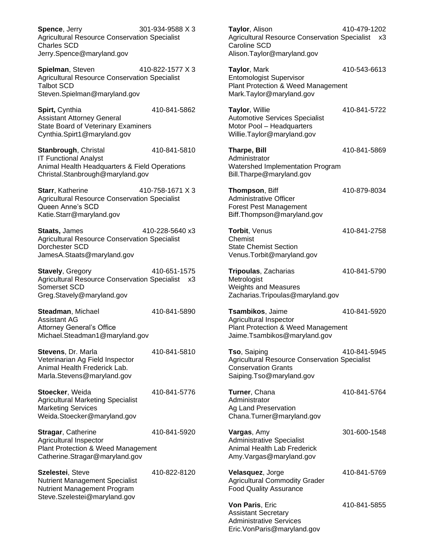**Spence**, Jerry 301-934-9588 X 3 Agricultural Resource Conservation Specialist Charles SCD Jerry.Spence@maryland.gov

**Spielman**, Steven 410-822-1577 X 3 Agricultural Resource Conservation Specialist Talbot SCD Steven.Spielman@maryland.gov

**Spirt, Cynthia 410-841-5862** Assistant Attorney General State Board of Veterinary Examiners Cynthia.Spirt1@maryland.gov

**Stanbrough**, Christal 410-841-5810 IT Functional Analyst Animal Health Headquarters & Field Operations Christal.Stanbrough@maryland.gov

**Starr**, Katherine 410-758-1671 X 3 Agricultural Resource Conservation Specialist Queen Anne's SCD Katie.Starr@maryland.gov

**Staats,** James 410-228-5640 x3 Agricultural Resource Conservation Specialist Dorchester SCD JamesA.Staats@maryland.gov

**Stavely**, Gregory 410-651-1575 Agricultural Resource Conservation Specialist x3 Somerset SCD Greg.Stavely@maryland.gov

**Steadman**, Michael 410-841-5890 Assistant AG Attorney General's Office Michael.Steadman1@maryland.gov

**Stevens**, Dr. Marla 410-841-5810 Veterinarian Ag Field Inspector Animal Health Frederick Lab. Marla.Stevens@maryland.gov

**Stoecker**, Weida 410-841-5776 Agricultural Marketing Specialist Marketing Services Weida.Stoecker@maryland.gov

**Stragar**, Catherine 410-841-5920 Agricultural Inspector Plant Protection & Weed Management Catherine.Stragar@maryland.gov

**Szelestei**, Steve 410-822-8120 Nutrient Management Specialist Nutrient Management Program Steve.Szelestei@maryland.gov

**Taylor**, Alison 410-479-1202 Agricultural Resource Conservation Specialist x3 Caroline SCD Alison.Taylor@maryland.gov

**Taylor**, Mark 410-543-6613 Entomologist Supervisor Plant Protection & Weed Management Mark.Taylor@maryland.gov

**Taylor**, Willie 410-841-5722 Automotive Services Specialist Motor Pool – Headquarters Willie.Taylor@maryland.gov

**Tharpe, Bill** 410-841-5869

Administrator Watershed Implementation Program Bill.Tharpe@maryland.gov

**Thompson**, Biff 410-879-8034 Administrative Officer Forest Pest Management Biff.Thompson@maryland.gov

**Torbit**, Venus 410-841-2758 Chemist State Chemist Section Venus.Torbit@maryland.gov

**Tripoulas**, Zacharias 410-841-5790 Metrologist Weights and Measures Zacharias.Tripoulas@maryland.gov

**Tsambikos**, Jaime 410-841-5920 Agricultural Inspector Plant Protection & Weed Management Jaime.Tsambikos@maryland.gov

**Tso**, Saiping 410-841-5945 Agricultural Resource Conservation Specialist Conservation Grants Saiping.Tso@maryland.gov

**Turner**, Chana 410-841-5764 Administrator Ag Land Preservation Chana.Turner@maryland.gov

**Vargas**, Amy 301-600-1548 Administrative Specialist Animal Health Lab Frederick Amy.Vargas@maryland.gov

**Velasquez**, Jorge 410-841-5769 Agricultural Commodity Grader Food Quality Assurance

**Von Paris**, Eric 410-841-5855 Assistant Secretary Administrative Services Eric.VonParis@maryland.gov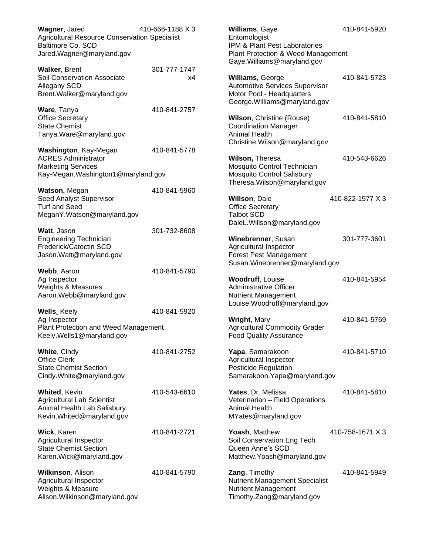| Wagner, Jared<br><b>Agricultural Resource Conservation Specialist</b><br>Baltimore Co. SCD<br>Jared. Wagner@maryland.gov | 410-666-1188 X 3   | Williams, Gaye<br>Entomologist<br>IPM & Plant Pest Laboratories<br><b>Plant Protection &amp; Weed Management</b><br>Gaye. Williams@maryland.gov | 410-841-5920     |
|--------------------------------------------------------------------------------------------------------------------------|--------------------|-------------------------------------------------------------------------------------------------------------------------------------------------|------------------|
| <b>Walker, Brent</b><br>Soil Conservation Associate<br>Allegany SCD<br>Brent. Walker@maryland.gov                        | 301-777-1747<br>х4 | Williams, George<br><b>Automotive Services Supervisor</b><br>Motor Pool - Headquarters<br>George. Williams@maryland.gov                         | 410-841-5723     |
| Ware, Tanya<br><b>Office Secretary</b><br><b>State Chemist</b><br>Tanya.Ware@maryland.gov                                | 410-841-2757       | Wilson, Christine (Rouse)<br><b>Coordination Manager</b><br>Animal Health<br>Christine. Wilson@maryland.gov                                     | 410-841-5810     |
| Washington, Kay-Megan<br><b>ACRES Administrator</b><br><b>Marketing Services</b><br>Kay-Megan. Washington1@maryland.gov  | 410-841-5778       | Wilson, Theresa<br>Mosquito Control Technician<br><b>Mosquito Control Salisbury</b><br>Theresa. Wilson@maryland.gov                             | 410-543-6626     |
| Watson, Megan<br>Seed Analyst Supervisor<br><b>Turf and Seed</b><br>MeganY.Watson@maryland.gov                           | 410-841-5960       | Willson, Dale<br><b>Office Secretary</b><br><b>Talbot SCD</b><br>DaleL.Willson@maryland.gov                                                     | 410-822-1577 X 3 |
| Watt, Jason<br><b>Engineering Technician</b><br>Frederick/Catoctin SCD<br>Jason. Watt@maryland.gov                       | 301-732-8608       | Winebrenner, Susan<br>Agricultural Inspector<br><b>Forest Pest Management</b><br>Susan. Winebrenner@maryland.gov                                | 301-777-3601     |
| Webb, Aaron<br>Ag Inspector<br>Weights & Measures<br>Aaron.Webb@maryland.gov                                             | 410-841-5790       | <b>Woodruff, Louise</b><br><b>Administrative Officer</b><br><b>Nutrient Management</b><br>Louise.Woodruff@maryland.gov                          | 410-841-5954     |
| <b>Wells, Keely</b><br>Ag Inspector<br>Plant Protection and Weed Management<br>Keely.Wells1@maryland.gov                 | 410-841-5920       | Wright, Mary<br><b>Agricultural Commodity Grader</b><br><b>Food Quality Assurance</b>                                                           | 410-841-5769     |
| <b>White, Cindy</b><br><b>Office Clerk</b><br><b>State Chemist Section</b><br>Cindy. White @maryland.gov                 | 410-841-2752       | Yapa, Samarakoon<br>Agricultural Inspector<br><b>Pesticide Regulation</b><br>Samarakoon. Yapa@maryland.gov                                      | 410-841-5710     |
| <b>Whited, Kevin</b><br><b>Agricultural Lab Scientist</b><br>Animal Health Lab Salisbury<br>Kevin. Whited@maryland.gov   | 410-543-6610       | Yates, Dr. Melissa<br>Veterinarian - Field Operations<br>Animal Health<br>MYates@maryland.gov                                                   | 410-841-5810     |
| Wick, Karen<br>Agricultural Inspector<br><b>State Chemist Section</b><br>Karen. Wick@maryland.gov                        | 410-841-2721       | Yoash, Matthew<br>Soil Conservation Eng Tech<br>Queen Anne's SCD<br>Matthew.Yoash@maryland.gov                                                  | 410-758-1671 X 3 |
| Wilkinson, Alison<br>Agricultural Inspector<br>Weights & Measure<br>Alison. Wilkinson@maryland.gov                       | 410-841-5790       | Zang, Timothy<br><b>Nutrient Management Specialist</b><br><b>Nutrient Management</b><br>Timothy.Zang@maryland.gov                               | 410-841-5949     |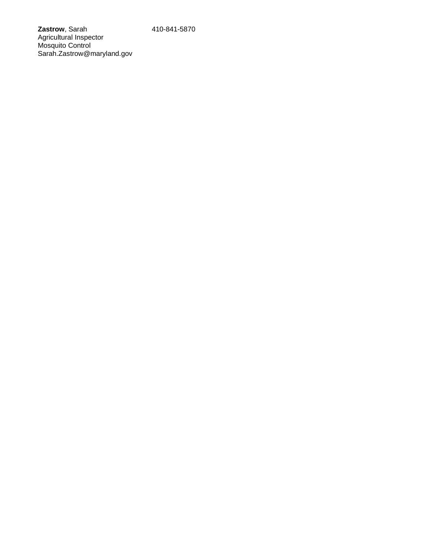**Zastrow**, Sarah 410-841-5870 Agricultural Inspector Mosquito Control Sarah.Zastrow@maryland.gov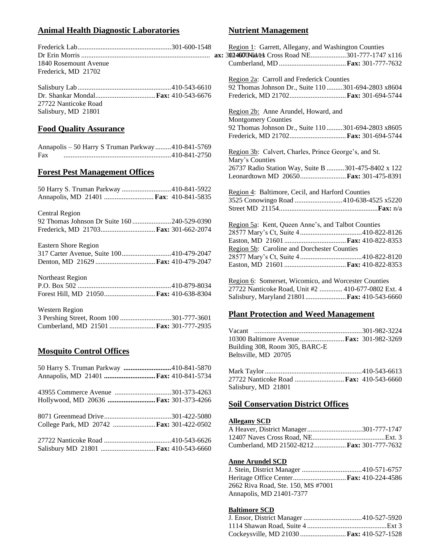## **Animal Health Diagnostic Laboratories**

|                       | Region 1: G |
|-----------------------|-------------|
|                       |             |
| 1840 Rosemount Avenue | Cumberland. |
| Frederick, MD 21702   |             |

Salisbury Lab.....................................................410-543-6610 Dr. Shankar Mondal..................................**Fax:** 410-543-6676 27722 Nanticoke Road Salisbury, MD 21801

## **Food Quality Assurance**

|     | Annapolis - 50 Harry S Truman Parkway410-841-5769 |  |
|-----|---------------------------------------------------|--|
| Fax |                                                   |  |

#### **Forest Pest Management Offices**

| Annapolis, MD 21401  Fax: 410-841-5835   |
|------------------------------------------|
| Central Region                           |
|                                          |
|                                          |
| Eastern Shore Region                     |
| 317 Carter Avenue, Suite 100410-479-2047 |
|                                          |
| Northeast Region                         |
|                                          |
| Forest Hill, MD 21050 Fax: 410-638-8304  |
| Western Region                           |

| WUSIUM RUGIUM                                 |  |
|-----------------------------------------------|--|
| 3 Pershing Street, Room 100 301-777-3601      |  |
| Cumberland, MD 21501 <b>Fax:</b> 301-777-2935 |  |

### **Mosquito Control Offices**

| 50 Harry S. Truman Parkway 410-841-5870   |  |
|-------------------------------------------|--|
| Annapolis, MD 21401  Fax: 410-841-5734    |  |
|                                           |  |
| Hollywood, MD 20636  Fax: 301-373-4266    |  |
|                                           |  |
| College Park, MD 20742  Fax: 301-422-0502 |  |
|                                           |  |
| Salisbury MD 21801  Fax: 410-543-6660     |  |

## **Nutrient Management**

| Region 1: Garrett, Allegany, and Washington Counties<br>3024600Navels Cross Road NE301-777-1747 x116                                                                      |
|---------------------------------------------------------------------------------------------------------------------------------------------------------------------------|
| Region 2a: Carroll and Frederick Counties<br>92 Thomas Johnson Dr., Suite 110  301-694-2803 x8604<br>Frederick, MD 21702 Fax: 301-694-5744                                |
| Region 2b: Anne Arundel, Howard, and<br><b>Montgomery Counties</b><br>92 Thomas Johnson Dr., Suite 110  301-694-2803 x8605<br>Frederick, MD 21702 Fax: 301-694-5744       |
| Region 3b: Calvert, Charles, Prince George's, and St.<br>Mary's Counties<br>26737 Radio Station Way, Suite B 301-475-8402 x 122<br>Leonardtown MD 20650 Fax: 301-475-8391 |
| Region 4: Baltimore, Cecil, and Harford Counties<br>3525 Conowingo Road 410-638-4525 x5220                                                                                |
| Region 5a: Kent, Queen Anne's, and Talbot Counties<br>Region 5b: Caroline and Dorchester Counties                                                                         |
| Region 6: Somerset, Wicomico, and Worcester Counties<br>27722 Nanticoke Road, Unit #2  410-677-0802 Ext. 4                                                                |

Salisbury, Maryland 21801.......................**Fax:** 410-543-6660

## **Plant Protection and Weed Management**

| 10300 Baltimore Avenue  Fax: 301-982-3269 |  |
|-------------------------------------------|--|
| Building 308, Room 305, BARC-E            |  |
| Beltsville, MD 20705                      |  |
|                                           |  |

| 27722 Nanticoke Road <b>Fax:</b> 410-543-6660 |  |
|-----------------------------------------------|--|
| Salisbury, MD 21801                           |  |

### **Soil Conservation District Offices**

#### **Allegany SCD**

| Cumberland, MD 21502-8212 Fax: 301-777-7632 |  |
|---------------------------------------------|--|

#### **Anne Arundel SCD**

| 2662 Riva Road, Ste. 150, MS #7001 |  |
|------------------------------------|--|
| Annapolis, MD 21401-7377           |  |

## **Baltimore SCD**

| Cockeysville, MD 21030  Fax: 410-527-1528 |  |
|-------------------------------------------|--|